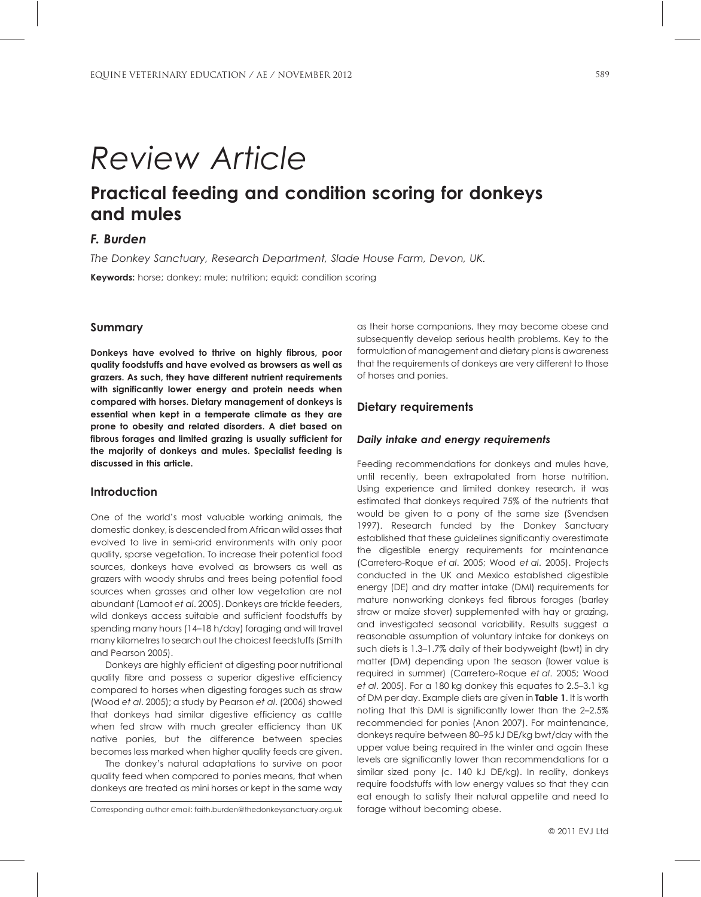# *Review Article*

# **Practical feeding and condition scoring for donkeys and mules**

# *F. Burden*

*The Donkey Sanctuary, Research Department, Slade House Farm, Devon, UK.*

**Keywords:** horse; donkey; mule; nutrition; equid; condition scoring

# **Summary**

**Donkeys have evolved to thrive on highly fibrous, poor quality foodstuffs and have evolved as browsers as well as grazers. As such, they have different nutrient requirements with significantly lower energy and protein needs when compared with horses. Dietary management of donkeys is essential when kept in a temperate climate as they are prone to obesity and related disorders. A diet based on fibrous forages and limited grazing is usually sufficient for the majority of donkeys and mules. Specialist feeding is discussed in this article.**

# **Introduction**

One of the world's most valuable working animals, the domestic donkey, is descended from African wild asses that evolved to live in semi-arid environments with only poor quality, sparse vegetation. To increase their potential food sources, donkeys have evolved as browsers as well as grazers with woody shrubs and trees being potential food sources when grasses and other low vegetation are not abundant (Lamoot *et al*. 2005). Donkeys are trickle feeders, wild donkeys access suitable and sufficient foodstuffs by spending many hours (14–18 h/day) foraging and will travel many kilometres to search out the choicest feedstuffs (Smith and Pearson 2005).

Donkeys are highly efficient at digesting poor nutritional quality fibre and possess a superior digestive efficiency compared to horses when digesting forages such as straw (Wood *et al*. 2005); a study by Pearson *et al*. (2006) showed that donkeys had similar digestive efficiency as cattle when fed straw with much greater efficiency than UK native ponies, but the difference between species becomes less marked when higher quality feeds are given.

The donkey's natural adaptations to survive on poor quality feed when compared to ponies means, that when donkeys are treated as mini horses or kept in the same way

as their horse companions, they may become obese and subsequently develop serious health problems. Key to the formulation of management and dietary plans is awareness that the requirements of donkeys are very different to those of horses and ponies.

# **Dietary requirements**

# *Daily intake and energy requirements*

Feeding recommendations for donkeys and mules have, until recently, been extrapolated from horse nutrition. Using experience and limited donkey research, it was estimated that donkeys required 75% of the nutrients that would be given to a pony of the same size (Svendsen 1997). Research funded by the Donkey Sanctuary established that these guidelines significantly overestimate the digestible energy requirements for maintenance (Carretero-Roque *et al*. 2005; Wood *et al*. 2005). Projects conducted in the UK and Mexico established digestible energy (DE) and dry matter intake (DMI) requirements for mature nonworking donkeys fed fibrous forages (barley straw or maize stover) supplemented with hay or grazing, and investigated seasonal variability. Results suggest a reasonable assumption of voluntary intake for donkeys on such diets is 1.3–1.7% daily of their bodyweight (bwt) in dry matter (DM) depending upon the season (lower value is required in summer) (Carretero-Roque *et al*. 2005; Wood *et al*. 2005). For a 180 kg donkey this equates to 2.5–3.1 kg of DM per day. Example diets are given in **Table 1**. It is worth noting that this DMI is significantly lower than the 2–2.5% recommended for ponies (Anon 2007). For maintenance, donkeys require between 80–95 kJ DE/kg bwt/day with the upper value being required in the winter and again these levels are significantly lower than recommendations for a similar sized pony (c. 140 kJ DE/kg). In reality, donkeys require foodstuffs with low energy values so that they can eat enough to satisfy their natural appetite and need to

Corresponding author email: faith.burden@thedonkeysanctuary.org.uk forage without becoming obese.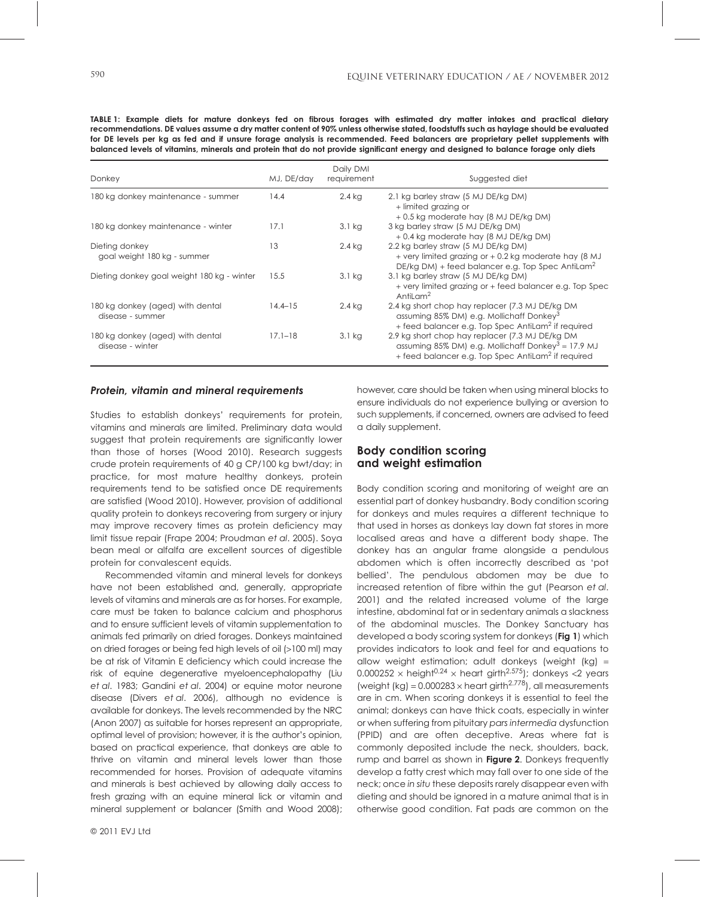**TABLE 1: Example diets for mature donkeys fed on fibrous forages with estimated dry matter intakes and practical dietary recommendations. DE values assume a dry matter content of 90% unless otherwise stated, foodstuffs such as haylage should be evaluated for DE levels per kg as fed and if unsure forage analysis is recommended. Feed balancers are proprietary pellet supplements with balanced levels of vitamins, minerals and protein that do not provide significant energy and designed to balance forage only diets**

| Donkey                                               | MJ, DE/day  | Daily DMI<br>requirement | Suggested diet                                                                                                                                                             |
|------------------------------------------------------|-------------|--------------------------|----------------------------------------------------------------------------------------------------------------------------------------------------------------------------|
| 180 kg donkey maintenance - summer                   | 14.4        | $2.4$ kg                 | 2.1 kg barley straw (5 MJ DE/kg DM)<br>+ limited grazing or<br>+ 0.5 kg moderate hay (8 MJ DE/kg DM)                                                                       |
| 180 kg donkey maintenance - winter                   | 17.1        | $3.1$ kg                 | 3 kg barley straw (5 MJ DE/kg DM)<br>+0.4 kg moderate hay (8 MJ DE/kg DM)                                                                                                  |
| Dieting donkey<br>goal weight 180 kg - summer        | 13          | 2.4 kg                   | 2.2 kg barley straw (5 MJ DE/kg DM)<br>+ very limited grazing or + 0.2 kg moderate hay (8 MJ<br>$DE/kg$ DM) + feed balancer e.g. Top Spec AntiLam <sup>2</sup>             |
| Dieting donkey goal weight 180 kg - winter           | 15.5        | $3.1$ kg                 | 3.1 kg barley straw (5 MJ DE/kg DM)<br>+ very limited grazing or + feed balancer e.g. Top Spec<br>AntiLam <sup>2</sup>                                                     |
| 180 kg donkey (aged) with dental<br>disease - summer | $14.4 - 15$ | $2.4$ kg                 | 2.4 kg short chop hay replacer (7.3 MJ DE/kg DM<br>assuming 85% DM) e.g. Mollichaff Donkey <sup>3</sup><br>+ feed balancer e.g. Top Spec AntiLam <sup>2</sup> if required  |
| 180 kg donkey (aged) with dental<br>disease - winter | $17.1 - 18$ | $3.1$ kg                 | 2.9 kg short chop hay replacer (7.3 MJ DE/kg DM<br>assuming 85% DM) e.g. Mollichaff Donkey $3 = 17.9$ MJ<br>+ feed balancer e.g. Top Spec AntiLam <sup>2</sup> if required |

#### *Protein, vitamin and mineral requirements*

Studies to establish donkeys' requirements for protein, vitamins and minerals are limited. Preliminary data would suggest that protein requirements are significantly lower than those of horses (Wood 2010). Research suggests crude protein requirements of 40 g CP/100 kg bwt/day; in practice, for most mature healthy donkeys, protein requirements tend to be satisfied once DE requirements are satisfied (Wood 2010). However, provision of additional quality protein to donkeys recovering from surgery or injury may improve recovery times as protein deficiency may limit tissue repair (Frape 2004; Proudman *et al*. 2005). Soya bean meal or alfalfa are excellent sources of digestible protein for convalescent equids.

Recommended vitamin and mineral levels for donkeys have not been established and, generally, appropriate levels of vitamins and minerals are as for horses. For example, care must be taken to balance calcium and phosphorus and to ensure sufficient levels of vitamin supplementation to animals fed primarily on dried forages. Donkeys maintained on dried forages or being fed high levels of oil (>100 ml) may be at risk of Vitamin E deficiency which could increase the risk of equine degenerative myeloencephalopathy (Liu *et al*. 1983; Gandini *et al*. 2004) or equine motor neurone disease (Divers *et al*. 2006), although no evidence is available for donkeys. The levels recommended by the NRC (Anon 2007) as suitable for horses represent an appropriate, optimal level of provision; however, it is the author's opinion, based on practical experience, that donkeys are able to thrive on vitamin and mineral levels lower than those recommended for horses. Provision of adequate vitamins and minerals is best achieved by allowing daily access to fresh grazing with an equine mineral lick or vitamin and mineral supplement or balancer (Smith and Wood 2008); however, care should be taken when using mineral blocks to ensure individuals do not experience bullying or aversion to such supplements, if concerned, owners are advised to feed a daily supplement.

# **Body condition scoring and weight estimation**

Body condition scoring and monitoring of weight are an essential part of donkey husbandry. Body condition scoring for donkeys and mules requires a different technique to that used in horses as donkeys lay down fat stores in more localised areas and have a different body shape. The donkey has an angular frame alongside a pendulous abdomen which is often incorrectly described as 'pot bellied'. The pendulous abdomen may be due to increased retention of fibre within the gut (Pearson *et al*. 2001) and the related increased volume of the large intestine, abdominal fat or in sedentary animals a slackness of the abdominal muscles. The Donkey Sanctuary has developed a body scoring system for donkeys (**Fig 1**) which provides indicators to look and feel for and equations to allow weight estimation; adult donkeys (weight (kg) = 0.000252  $\times$  height<sup>0.24</sup>  $\times$  heart girth<sup>2.575</sup>); donkeys <2 years (weight (kg) =  $0.000283 \times$  heart girth<sup>2.778</sup>), all measurements are in cm. When scoring donkeys it is essential to feel the animal; donkeys can have thick coats, especially in winter or when suffering from pituitary *pars intermedia* dysfunction (PPID) and are often deceptive. Areas where fat is commonly deposited include the neck, shoulders, back, rump and barrel as shown in **Figure 2**. Donkeys frequently develop a fatty crest which may fall over to one side of the neck; once *in situ* these deposits rarely disappear even with dieting and should be ignored in a mature animal that is in otherwise good condition. Fat pads are common on the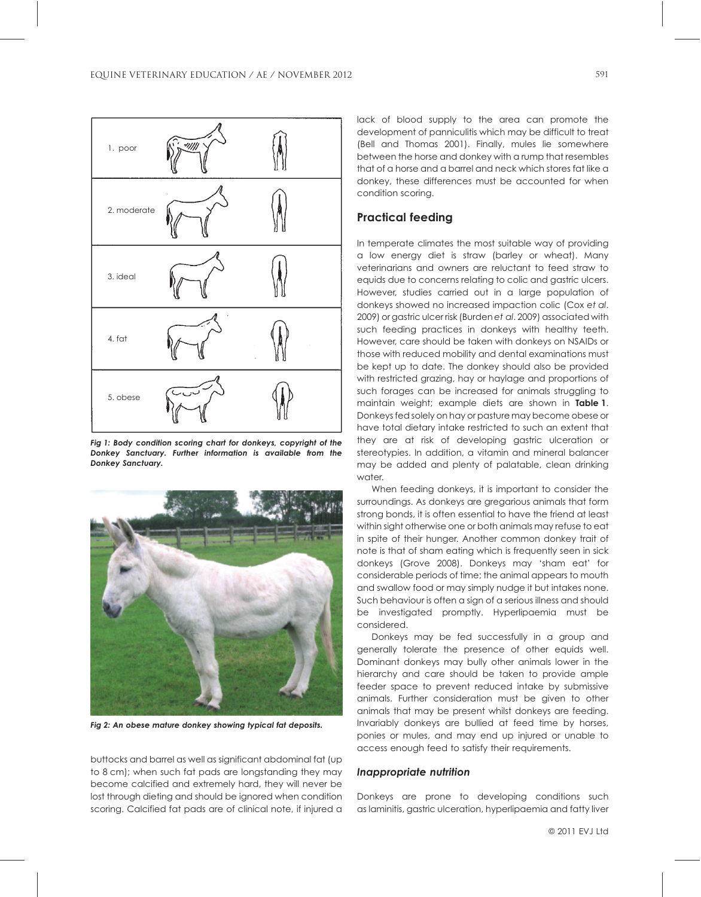

*Fig 1: Body condition scoring chart for donkeys, copyright of the Donkey Sanctuary. Further information is available from the Donkey Sanctuary.*



*Fig 2: An obese mature donkey showing typical fat deposits.*

buttocks and barrel as well as significant abdominal fat (up to 8 cm); when such fat pads are longstanding they may become calcified and extremely hard, they will never be lost through dieting and should be ignored when condition scoring. Calcified fat pads are of clinical note, if injured a

lack of blood supply to the area can promote the development of panniculitis which may be difficult to treat (Bell and Thomas 2001). Finally, mules lie somewhere between the horse and donkey with a rump that resembles that of a horse and a barrel and neck which stores fat like a donkey, these differences must be accounted for when condition scoring.

# **Practical feeding**

In temperate climates the most suitable way of providing a low energy diet is straw (barley or wheat). Many veterinarians and owners are reluctant to feed straw to equids due to concerns relating to colic and gastric ulcers. However, studies carried out in a large population of donkeys showed no increased impaction colic (Cox *et al*. 2009) or gastric ulcer risk (Burden *et al*. 2009) associated with such feeding practices in donkeys with healthy teeth. However, care should be taken with donkeys on NSAIDs or those with reduced mobility and dental examinations must be kept up to date. The donkey should also be provided with restricted grazing, hay or haylage and proportions of such forages can be increased for animals struggling to maintain weight; example diets are shown in **Table 1**. Donkeys fed solely on hay or pasture may become obese or have total dietary intake restricted to such an extent that they are at risk of developing gastric ulceration or stereotypies. In addition, a vitamin and mineral balancer may be added and plenty of palatable, clean drinking water.

When feeding donkeys, it is important to consider the surroundings. As donkeys are gregarious animals that form strong bonds, it is often essential to have the friend at least within sight otherwise one or both animals may refuse to eat in spite of their hunger. Another common donkey trait of note is that of sham eating which is frequently seen in sick donkeys (Grove 2008). Donkeys may 'sham eat' for considerable periods of time; the animal appears to mouth and swallow food or may simply nudge it but intakes none. Such behaviour is often a sign of a serious illness and should be investigated promptly. Hyperlipaemia must be considered.

Donkeys may be fed successfully in a group and generally tolerate the presence of other equids well. Dominant donkeys may bully other animals lower in the hierarchy and care should be taken to provide ample feeder space to prevent reduced intake by submissive animals. Further consideration must be given to other animals that may be present whilst donkeys are feeding. Invariably donkeys are bullied at feed time by horses, ponies or mules, and may end up injured or unable to access enough feed to satisfy their requirements.

#### *Inappropriate nutrition*

Donkeys are prone to developing conditions such as laminitis, gastric ulceration, hyperlipaemia and fatty liver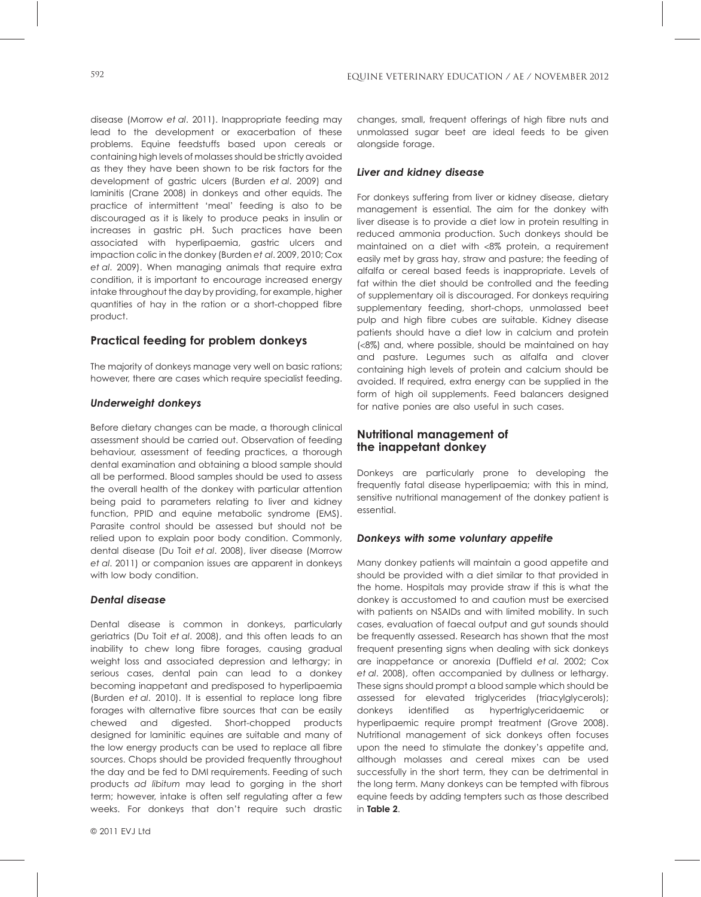disease (Morrow *et al*. 2011). Inappropriate feeding may lead to the development or exacerbation of these problems. Equine feedstuffs based upon cereals or containing high levels of molasses should be strictly avoided as they they have been shown to be risk factors for the development of gastric ulcers (Burden *et al*. 2009) and laminitis (Crane 2008) in donkeys and other equids. The practice of intermittent 'meal' feeding is also to be discouraged as it is likely to produce peaks in insulin or increases in gastric pH. Such practices have been associated with hyperlipaemia, gastric ulcers and impaction colic in the donkey (Burden *et al*. 2009, 2010; Cox *et al*. 2009). When managing animals that require extra condition, it is important to encourage increased energy intake throughout the day by providing, for example, higher quantities of hay in the ration or a short-chopped fibre product.

# **Practical feeding for problem donkeys**

The majority of donkeys manage very well on basic rations; however, there are cases which require specialist feeding.

#### *Underweight donkeys*

Before dietary changes can be made, a thorough clinical assessment should be carried out. Observation of feeding behaviour, assessment of feeding practices, a thorough dental examination and obtaining a blood sample should all be performed. Blood samples should be used to assess the overall health of the donkey with particular attention being paid to parameters relating to liver and kidney function, PPID and equine metabolic syndrome (EMS). Parasite control should be assessed but should not be relied upon to explain poor body condition. Commonly, dental disease (Du Toit *et al*. 2008), liver disease (Morrow *et al*. 2011) or companion issues are apparent in donkeys with low body condition.

#### *Dental disease*

Dental disease is common in donkeys, particularly geriatrics (Du Toit *et al*. 2008), and this often leads to an inability to chew long fibre forages, causing gradual weight loss and associated depression and lethargy; in serious cases, dental pain can lead to a donkey becoming inappetant and predisposed to hyperlipaemia (Burden *et al*. 2010). It is essential to replace long fibre forages with alternative fibre sources that can be easily chewed and digested. Short-chopped products designed for laminitic equines are suitable and many of the low energy products can be used to replace all fibre sources. Chops should be provided frequently throughout the day and be fed to DMI requirements. Feeding of such products *ad libitum* may lead to gorging in the short term; however, intake is often self regulating after a few weeks. For donkeys that don't require such drastic

changes, small, frequent offerings of high fibre nuts and unmolassed sugar beet are ideal feeds to be given alongside forage.

#### *Liver and kidney disease*

For donkeys suffering from liver or kidney disease, dietary management is essential. The aim for the donkey with liver disease is to provide a diet low in protein resulting in reduced ammonia production. Such donkeys should be maintained on a diet with <8% protein, a requirement easily met by grass hay, straw and pasture; the feeding of alfalfa or cereal based feeds is inappropriate. Levels of fat within the diet should be controlled and the feeding of supplementary oil is discouraged. For donkeys requiring supplementary feeding, short-chops, unmolassed beet pulp and high fibre cubes are suitable. Kidney disease patients should have a diet low in calcium and protein (<8%) and, where possible, should be maintained on hay and pasture. Legumes such as alfalfa and clover containing high levels of protein and calcium should be avoided. If required, extra energy can be supplied in the form of high oil supplements. Feed balancers designed for native ponies are also useful in such cases.

# **Nutritional management of the inappetant donkey**

Donkeys are particularly prone to developing the frequently fatal disease hyperlipaemia; with this in mind, sensitive nutritional management of the donkey patient is essential.

#### *Donkeys with some voluntary appetite*

Many donkey patients will maintain a good appetite and should be provided with a diet similar to that provided in the home. Hospitals may provide straw if this is what the donkey is accustomed to and caution must be exercised with patients on NSAIDs and with limited mobility. In such cases, evaluation of faecal output and gut sounds should be frequently assessed. Research has shown that the most frequent presenting signs when dealing with sick donkeys are inappetance or anorexia (Duffield *et al*. 2002; Cox *et al*. 2008), often accompanied by dullness or lethargy. These signs should prompt a blood sample which should be assessed for elevated triglycerides (triacylglycerols); donkeys identified as hypertriglyceridaemic or hyperlipaemic require prompt treatment (Grove 2008). Nutritional management of sick donkeys often focuses upon the need to stimulate the donkey's appetite and, although molasses and cereal mixes can be used successfully in the short term, they can be detrimental in the long term. Many donkeys can be tempted with fibrous equine feeds by adding tempters such as those described in **Table 2**.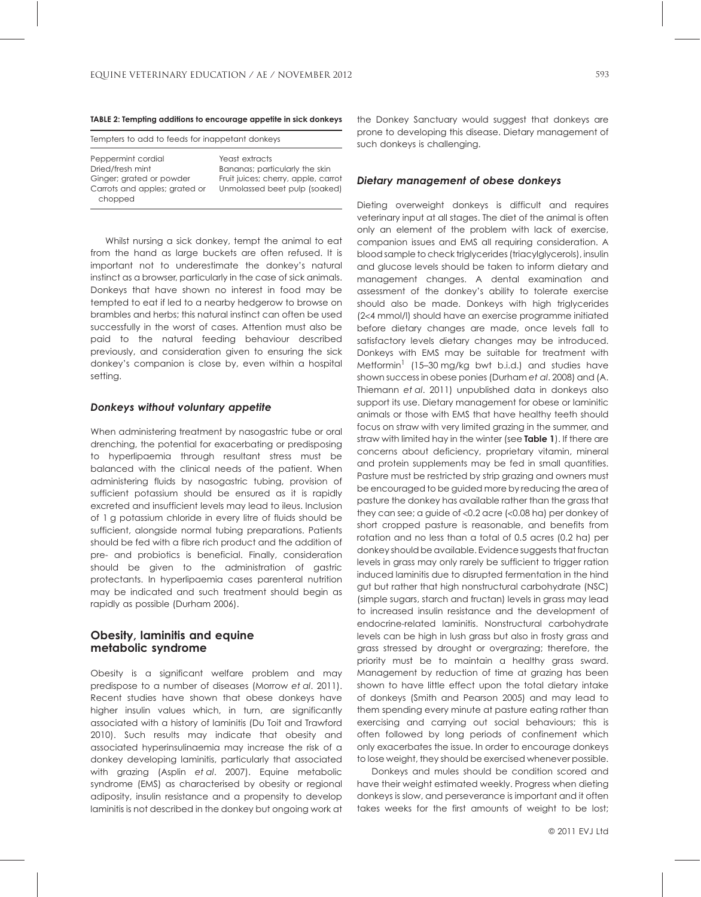|  |  | TABLE 2: Tempting additions to encourage appetite in sick donkeys |
|--|--|-------------------------------------------------------------------|
|--|--|-------------------------------------------------------------------|

| Tempters to add to feeds for inappetant donkeys                                                                |                                                                                                                          |  |  |  |
|----------------------------------------------------------------------------------------------------------------|--------------------------------------------------------------------------------------------------------------------------|--|--|--|
| Peppermint cordial<br>Dried/fresh mint<br>Ginger; grated or powder<br>Carrots and apples; grated or<br>chopped | Yeast extracts<br>Bananas; particularly the skin<br>Fruit juices; cherry, apple, carrot<br>Unmolassed beet pulp (soaked) |  |  |  |

Whilst nursing a sick donkey, tempt the animal to eat from the hand as large buckets are often refused. It is important not to underestimate the donkey's natural instinct as a browser, particularly in the case of sick animals. Donkeys that have shown no interest in food may be tempted to eat if led to a nearby hedgerow to browse on brambles and herbs; this natural instinct can often be used successfully in the worst of cases. Attention must also be paid to the natural feeding behaviour described previously, and consideration given to ensuring the sick donkey's companion is close by, even within a hospital setting.

#### *Donkeys without voluntary appetite*

When administering treatment by nasogastric tube or oral drenching, the potential for exacerbating or predisposing to hyperlipaemia through resultant stress must be balanced with the clinical needs of the patient. When administering fluids by nasogastric tubing, provision of sufficient potassium should be ensured as it is rapidly excreted and insufficient levels may lead to ileus. Inclusion of 1 g potassium chloride in every litre of fluids should be sufficient, alongside normal tubing preparations. Patients should be fed with a fibre rich product and the addition of pre- and probiotics is beneficial. Finally, consideration should be given to the administration of gastric protectants. In hyperlipaemia cases parenteral nutrition may be indicated and such treatment should begin as rapidly as possible (Durham 2006).

# **Obesity, laminitis and equine metabolic syndrome**

Obesity is a significant welfare problem and may predispose to a number of diseases (Morrow *et al*. 2011). Recent studies have shown that obese donkeys have higher insulin values which, in turn, are significantly associated with a history of laminitis (Du Toit and Trawford 2010). Such results may indicate that obesity and associated hyperinsulinaemia may increase the risk of a donkey developing laminitis, particularly that associated with grazing (Asplin *et al*. 2007). Equine metabolic syndrome (EMS) as characterised by obesity or regional adiposity, insulin resistance and a propensity to develop laminitis is not described in the donkey but ongoing work at

the Donkey Sanctuary would suggest that donkeys are prone to developing this disease. Dietary management of such donkeys is challenging.

#### *Dietary management of obese donkeys*

Dieting overweight donkeys is difficult and requires veterinary input at all stages. The diet of the animal is often only an element of the problem with lack of exercise, companion issues and EMS all requiring consideration. A blood sample to check triglycerides (triacylglycerols), insulin and glucose levels should be taken to inform dietary and management changes. A dental examination and assessment of the donkey's ability to tolerate exercise should also be made. Donkeys with high triglycerides (2<4 mmol/l) should have an exercise programme initiated before dietary changes are made, once levels fall to satisfactory levels dietary changes may be introduced. Donkeys with EMS may be suitable for treatment with Metformin<sup>1</sup> (15-30 mg/kg bwt b.i.d.) and studies have shown success in obese ponies (Durham *et al*. 2008) and (A. Thiemann *et al*. 2011) unpublished data in donkeys also support its use. Dietary management for obese or laminitic animals or those with EMS that have healthy teeth should focus on straw with very limited grazing in the summer, and straw with limited hay in the winter (see **Table 1**). If there are concerns about deficiency, proprietary vitamin, mineral and protein supplements may be fed in small quantities. Pasture must be restricted by strip grazing and owners must be encouraged to be guided more by reducing the area of pasture the donkey has available rather than the grass that they can see; a guide of <0.2 acre (<0.08 ha) per donkey of short cropped pasture is reasonable, and benefits from rotation and no less than a total of 0.5 acres (0.2 ha) per donkey should be available. Evidence suggests that fructan levels in grass may only rarely be sufficient to trigger ration induced laminitis due to disrupted fermentation in the hind gut but rather that high nonstructural carbohydrate (NSC) (simple sugars, starch and fructan) levels in grass may lead to increased insulin resistance and the development of endocrine-related laminitis. Nonstructural carbohydrate levels can be high in lush grass but also in frosty grass and grass stressed by drought or overgrazing; therefore, the priority must be to maintain a healthy grass sward. Management by reduction of time at grazing has been shown to have little effect upon the total dietary intake of donkeys (Smith and Pearson 2005) and may lead to them spending every minute at pasture eating rather than exercising and carrying out social behaviours; this is often followed by long periods of confinement which only exacerbates the issue. In order to encourage donkeys to lose weight, they should be exercised whenever possible.

Donkeys and mules should be condition scored and have their weight estimated weekly. Progress when dieting donkeys is slow, and perseverance is important and it often takes weeks for the first amounts of weight to be lost;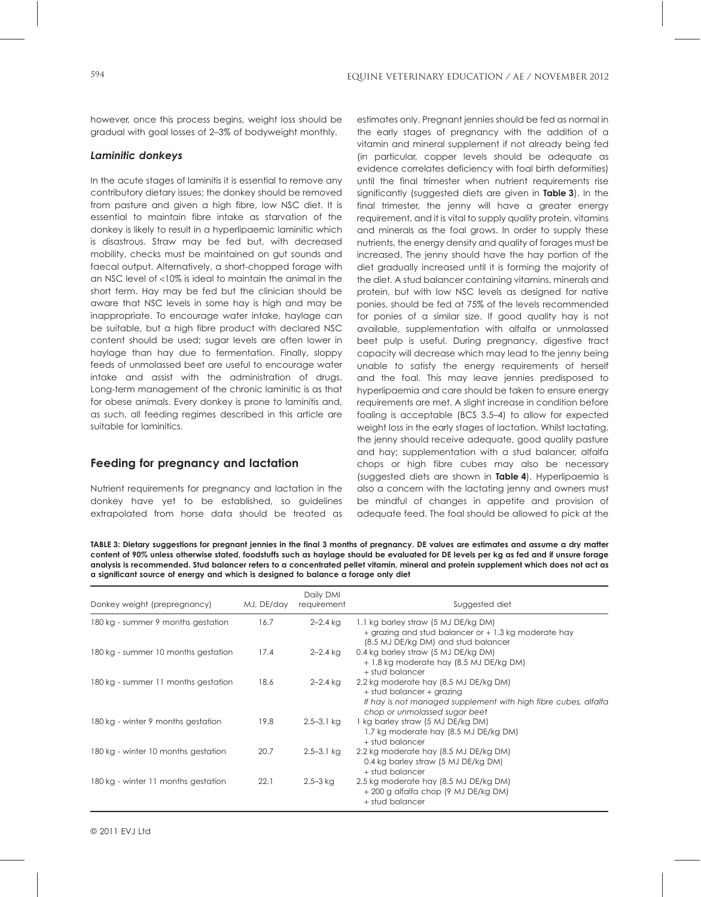however, once this process begins, weight loss should be gradual with goal losses of 2–3% of bodyweight monthly.

# *Laminitic donkeys*

In the acute stages of laminitis it is essential to remove any contributory dietary issues; the donkey should be removed from pasture and given a high fibre, low NSC diet. It is essential to maintain fibre intake as starvation of the donkey is likely to result in a hyperlipaemic laminitic which is disastrous. Straw may be fed but, with decreased mobility, checks must be maintained on gut sounds and faecal output. Alternatively, a short-chopped forage with an NSC level of <10% is ideal to maintain the animal in the short term. Hay may be fed but the clinician should be aware that NSC levels in some hay is high and may be inappropriate. To encourage water intake, haylage can be suitable, but a high fibre product with declared NSC content should be used; sugar levels are often lower in haylage than hay due to fermentation. Finally, sloppy feeds of unmolassed beet are useful to encourage water intake and assist with the administration of drugs. Long-term management of the chronic laminitic is as that for obese animals. Every donkey is prone to laminitis and, as such, all feeding regimes described in this article are suitable for laminitics.

# **Feeding for pregnancy and lactation**

Nutrient requirements for pregnancy and lactation in the donkey have yet to be established, so guidelines extrapolated from horse data should be treated as

estimates only. Pregnant jennies should be fed as normal in the early stages of pregnancy with the addition of a vitamin and mineral supplement if not already being fed (in particular, copper levels should be adequate as evidence correlates deficiency with foal birth deformities) until the final trimester when nutrient requirements rise significantly (suggested diets are given in **Table 3**). In the final trimester, the jenny will have a greater energy requirement, and it is vital to supply quality protein, vitamins and minerals as the foal grows. In order to supply these nutrients, the energy density and quality of forages must be increased. The jenny should have the hay portion of the diet gradually increased until it is forming the majority of the diet. A stud balancer containing vitamins, minerals and protein, but with low NSC levels as designed for native ponies, should be fed at 75% of the levels recommended for ponies of a similar size. If good quality hay is not available, supplementation with alfalfa or unmolassed beet pulp is useful. During pregnancy, digestive tract capacity will decrease which may lead to the jenny being unable to satisfy the energy requirements of herself and the foal. This may leave jennies predisposed to hyperlipaemia and care should be taken to ensure energy requirements are met. A slight increase in condition before foaling is acceptable (BCS 3.5–4) to allow for expected weight loss in the early stages of lactation. Whilst lactating, the jenny should receive adequate, good quality pasture and hay; supplementation with a stud balancer, alfalfa chops or high fibre cubes may also be necessary (suggested diets are shown in **Table 4**). Hyperlipaemia is also a concern with the lactating jenny and owners must be mindful of changes in appetite and provision of adequate feed. The foal should be allowed to pick at the

**TABLE 3: Dietary suggestions for pregnant jennies in the final 3 months of pregnancy. DE values are estimates and assume a dry matter content of 90% unless otherwise stated, foodstuffs such as haylage should be evaluated for DE levels per kg as fed and if unsure forage analysis is recommended. Stud balancer refers to a concentrated pellet vitamin, mineral and protein supplement which does not act as a significant source of energy and which is designed to balance a forage only diet**

| Donkey weight (prepregnancy)        | MJ, DE/day | Daily DMI<br>requirement | Suggested diet                                                                                                                                                         |
|-------------------------------------|------------|--------------------------|------------------------------------------------------------------------------------------------------------------------------------------------------------------------|
| 180 kg - summer 9 months gestation  | 16.7       | 2–2.4 kg                 | 1.1 kg barley straw (5 MJ DE/kg DM)<br>+ grazing and stud balancer or + 1.3 kg moderate hay<br>(8.5 MJ DE/kg DM) and stud balancer                                     |
| 180 kg - summer 10 months gestation | 17.4       | 2–2.4 kg                 | 0.4 kg barley straw (5 MJ DE/kg DM)<br>+ 1.8 kg moderate hay (8.5 MJ DE/kg DM)<br>+ stud balancer                                                                      |
| 180 kg - summer 11 months gestation | 18.6       | $2 - 2.4$ kg             | 2.2 kg moderate hay (8.5 MJ DE/kg DM)<br>+ stud balancer + grazing<br>If hay is not managed supplement with high fibre cubes, alfalfa<br>chop or unmolassed sugar beet |
| 180 kg - winter 9 months gestation  | 19.8       | $2.5 - 3.1$ kg           | 1 kg barley straw (5 MJ DE/kg DM)<br>1.7 kg moderate hay (8.5 MJ DE/kg DM)<br>+ stud balancer                                                                          |
| 180 kg - winter 10 months gestation | 20.7       | $2.5 - 3.1$ kg           | 2.2 kg moderate hay (8.5 MJ DE/kg DM)<br>0.4 kg barley straw (5 MJ DE/kg DM)<br>+ stud balancer                                                                        |
| 180 kg - winter 11 months gestation | 22.1       | $2.5 - 3$ kg             | 2.5 kg moderate hay (8.5 MJ DE/kg DM)<br>+ 200 g alfalfa chop (9 MJ DE/kg DM)<br>+ stud balancer                                                                       |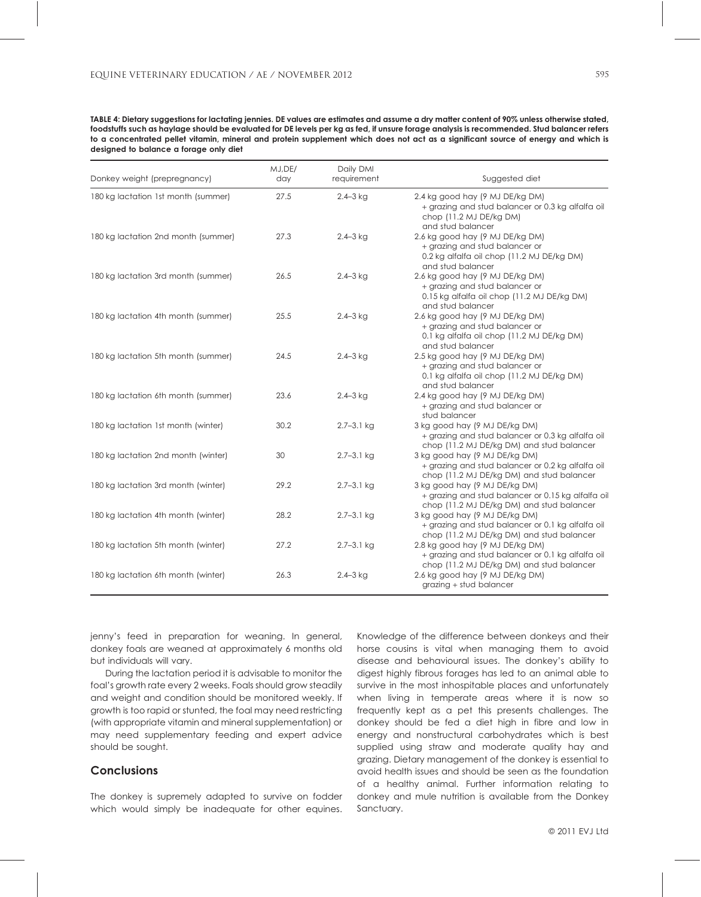**TABLE 4: Dietary suggestions for lactating jennies. DE values are estimates and assume a dry matter content of 90% unless otherwise stated, foodstuffs such as haylage should be evaluated for DE levels per kg as fed, if unsure forage analysis is recommended. Stud balancer refers to a concentrated pellet vitamin, mineral and protein supplement which does not act as a significant source of energy and which is designed to balance a forage only diet**

| Donkey weight (prepregnancy)        | MJ,DE/<br>day | Daily DMI<br>requirement | Suggested diet                                                                                                                        |
|-------------------------------------|---------------|--------------------------|---------------------------------------------------------------------------------------------------------------------------------------|
| 180 kg lactation 1st month (summer) | 27.5          | $2.4 - 3 kg$             | 2.4 kg good hay (9 MJ DE/kg DM)<br>+ grazing and stud balancer or 0.3 kg alfalfa oil<br>chop (11.2 MJ DE/kg DM)<br>and stud balancer  |
| 180 kg lactation 2nd month (summer) | 27.3          | $2.4 - 3 kg$             | 2.6 kg good hay (9 MJ DE/kg DM)<br>+ grazing and stud balancer or<br>0.2 kg alfalfa oil chop (11.2 MJ DE/kg DM)<br>and stud balancer  |
| 180 kg lactation 3rd month (summer) | 26.5          | $2.4 - 3 kg$             | 2.6 kg good hay (9 MJ DE/kg DM)<br>+ grazing and stud balancer or<br>0.15 kg alfalfa oil chop (11.2 MJ DE/kg DM)<br>and stud balancer |
| 180 kg lactation 4th month (summer) | 25.5          | $2.4 - 3 kg$             | 2.6 kg good hay (9 MJ DE/kg DM)<br>+ grazing and stud balancer or<br>0.1 kg alfalfa oil chop (11.2 MJ DE/kg DM)<br>and stud balancer  |
| 180 kg lactation 5th month (summer) | 24.5          | $2.4 - 3 kg$             | 2.5 kg good hay (9 MJ DE/kg DM)<br>+ grazing and stud balancer or<br>0.1 kg alfalfa oil chop (11.2 MJ DE/kg DM)<br>and stud balancer  |
| 180 kg lactation 6th month (summer) | 23.6          | $2.4 - 3 kg$             | 2.4 kg good hay (9 MJ DE/kg DM)<br>+ grazing and stud balancer or<br>stud balancer                                                    |
| 180 kg lactation 1st month (winter) | 30.2          | $2.7 - 3.1$ kg           | 3 kg good hay (9 MJ DE/kg DM)<br>+ grazing and stud balancer or 0.3 kg alfalfa oil<br>chop (11.2 MJ DE/kg DM) and stud balancer       |
| 180 kg lactation 2nd month (winter) | 30            | $2.7 - 3.1$ kg           | 3 kg good hay (9 MJ DE/kg DM)<br>+ grazing and stud balancer or 0.2 kg alfalfa oil<br>chop (11.2 MJ DE/kg DM) and stud balancer       |
| 180 kg lactation 3rd month (winter) | 29.2          | 2.7-3.1 kg               | 3 kg good hay (9 MJ DE/kg DM)<br>+ grazing and stud balancer or 0.15 kg alfalfa oil<br>chop (11.2 MJ DE/kg DM) and stud balancer      |
| 180 kg lactation 4th month (winter) | 28.2          | $2.7 - 3.1$ kg           | 3 kg good hay (9 MJ DE/kg DM)<br>+ grazing and stud balancer or 0.1 kg alfalfa oil<br>chop (11.2 MJ DE/kg DM) and stud balancer       |
| 180 kg lactation 5th month (winter) | 27.2          | $2.7 - 3.1$ kg           | 2.8 kg good hay (9 MJ DE/kg DM)<br>+ grazing and stud balancer or 0.1 kg alfalfa oil<br>chop (11.2 MJ DE/kg DM) and stud balancer     |
| 180 kg lactation 6th month (winter) | 26.3          | $2.4 - 3 kg$             | 2.6 kg good hay (9 MJ DE/kg DM)<br>grazing + stud balancer                                                                            |

jenny's feed in preparation for weaning. In general, donkey foals are weaned at approximately 6 months old but individuals will vary.

During the lactation period it is advisable to monitor the foal's growth rate every 2 weeks. Foals should grow steadily and weight and condition should be monitored weekly. If growth is too rapid or stunted, the foal may need restricting (with appropriate vitamin and mineral supplementation) or may need supplementary feeding and expert advice should be sought.

# **Conclusions**

The donkey is supremely adapted to survive on fodder which would simply be inadequate for other equines.

Knowledge of the difference between donkeys and their horse cousins is vital when managing them to avoid disease and behavioural issues. The donkey's ability to digest highly fibrous forages has led to an animal able to survive in the most inhospitable places and unfortunately when living in temperate areas where it is now so frequently kept as a pet this presents challenges. The donkey should be fed a diet high in fibre and low in energy and nonstructural carbohydrates which is best supplied using straw and moderate quality hay and grazing. Dietary management of the donkey is essential to avoid health issues and should be seen as the foundation of a healthy animal. Further information relating to donkey and mule nutrition is available from the Donkey Sanctuary.